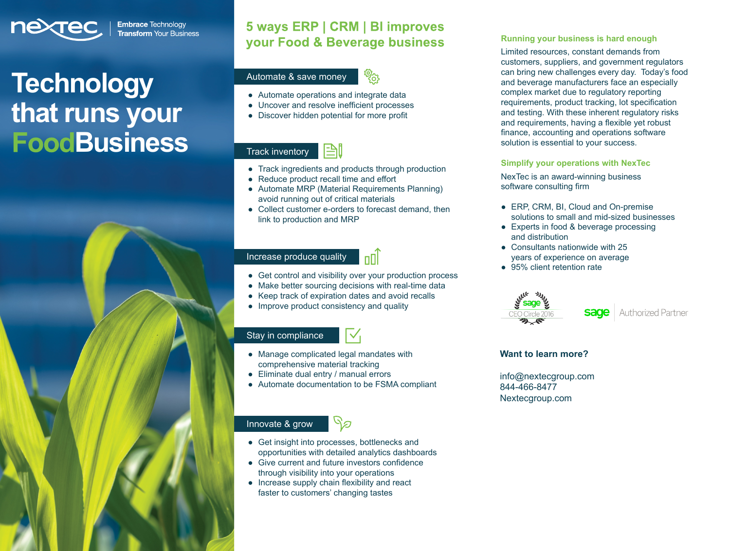

**Embrace Technology Transform** Your Business

# **Technology that runs your FoodBusiness**

## **5 ways ERP | CRM | BI improves your Food & Beverage business**

## Automate & save money



- **●** Automate operations and integrate data
- **●** Uncover and resolve inefficient processes
- **●** Discover hidden potential for more profit

#### 凸 Track inventory

- **●** Track ingredients and products through production
- **●** Reduce product recall time and effort
- **●** Automate MRP (Material Requirements Planning) avoid running out of critical materials
- **●** Collect customer e-orders to forecast demand, then link to production and MRP

## Increase produce quality



**●** Get control and visibility over your production process

 $\vee$ 

- **●** Make better sourcing decisions with real-time data
- **●** Keep track of expiration dates and avoid recalls
- **●** Improve product consistency and quality

## Stay in compliance

- **●** Manage complicated legal mandates with comprehensive material tracking
- **●** Eliminate dual entry / manual errors
- **●** Automate documentation to be FSMA compliant

## Innovate & grow

**●** Get insight into processes, bottlenecks and opportunities with detailed analytics dashboards

פר

- **●** Give current and future investors confidence through visibility into your operations
- **●** Increase supply chain flexibility and react faster to customers' changing tastes

#### **Running your business is hard enough**

Limited resources, constant demands from customers, suppliers, and government regulators can bring new challenges every day. Today's food and beverage manufacturers face an especially complex market due to regulatory reporting requirements, product tracking, lot specification and testing. With these inherent regulatory risks and requirements, having a flexible yet robust finance, accounting and operations software solution is essential to your success.

#### **Simplify your operations with NexTec**

NexTec is an award-winning business software consulting firm

- **●** ERP, CRM, BI, Cloud and On-premise solutions to small and mid-sized businesses
- **●** Experts in food & beverage processing and distribution
- **●** Consultants nationwide with 25 years of experience on average
- **●** 95% client retention rate



#### **Want to learn more?**

[info@nextecgroup.com](mailto:info@nextecgroup.com ) 844-466-8477 Nextecgroup.com